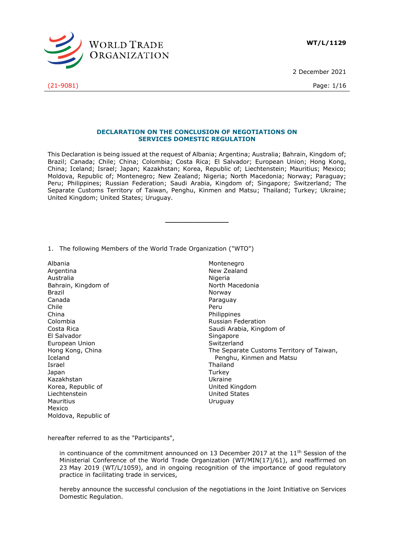

2 December 2021

(21-9081) Page: 1/16

**DECLARATION ON THE CONCLUSION OF NEGOTIATIONS ON SERVICES DOMESTIC REGULATION**

This Declaration is being issued at the request of Albania; Argentina; Australia; Bahrain, Kingdom of; Brazil; Canada; Chile; China; Colombia; Costa Rica; El Salvador; European Union; Hong Kong, China; Iceland; Israel; Japan; Kazakhstan; Korea, Republic of; Liechtenstein; Mauritius; Mexico; Moldova, Republic of; Montenegro; New Zealand; Nigeria; North Macedonia; Norway; Paraguay; Peru; Philippines; Russian Federation; Saudi Arabia, Kingdom of; Singapore; Switzerland; The Separate Customs Territory of Taiwan, Penghu, Kinmen and Matsu; Thailand; Turkey; Ukraine; United Kingdom; United States; Uruguay.

**\_\_\_\_\_\_\_\_\_\_\_\_\_\_\_**

1. The following Members of the World Trade Organization ("WTO")

Albania Argentina Australia Bahrain, Kingdom of Brazil Canada Chile China Colombia Costa Rica El Salvador European Union Hong Kong, China Iceland Israel Japan Kazakhstan Korea, Republic of Liechtenstein Mauritius Mexico Moldova, Republic of

Montenegro New Zealand Nigeria North Macedonia Norway Paraguay Peru Philippines Russian Federation Saudi Arabia, Kingdom of Singapore Switzerland The Separate Customs Territory of Taiwan, Penghu, Kinmen and Matsu Thailand **Turkey** Ukraine United Kingdom United States Uruguay

hereafter referred to as the "Participants",

in continuance of the commitment announced on 13 December 2017 at the  $11<sup>th</sup>$  Session of the Ministerial Conference of the World Trade Organization (WT/MIN(17)/61), and reaffirmed on 23 May 2019 (WT/L/1059), and in ongoing recognition of the importance of good regulatory practice in facilitating trade in services,

hereby announce the successful conclusion of the negotiations in the Joint Initiative on Services Domestic Regulation.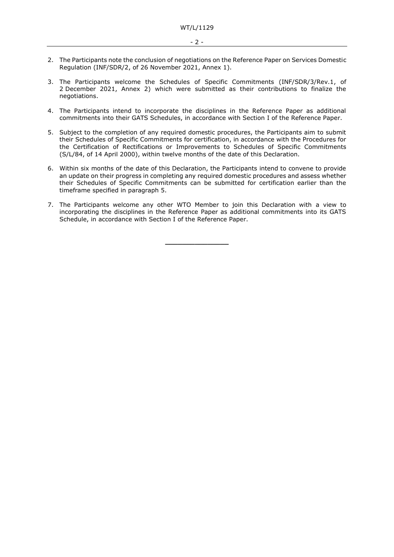- 2. The Participants note the conclusion of negotiations on the Reference Paper on Services Domestic Regulation (INF/SDR/2, of 26 November 2021, Annex 1).
- 3. The Participants welcome the Schedules of Specific Commitments (INF/SDR/3/Rev.1, of 2 December 2021, Annex 2) which were submitted as their contributions to finalize the negotiations.
- 4. The Participants intend to incorporate the disciplines in the Reference Paper as additional commitments into their GATS Schedules, in accordance with Section I of the Reference Paper.
- 5. Subject to the completion of any required domestic procedures, the Participants aim to submit their Schedules of Specific Commitments for certification, in accordance with the Procedures for the Certification of Rectifications or Improvements to Schedules of Specific Commitments (S/L/84, of 14 April 2000), within twelve months of the date of this Declaration.
- 6. Within six months of the date of this Declaration, the Participants intend to convene to provide an update on their progress in completing any required domestic procedures and assess whether their Schedules of Specific Commitments can be submitted for certification earlier than the timeframe specified in paragraph 5.
- 7. The Participants welcome any other WTO Member to join this Declaration with a view to incorporating the disciplines in the Reference Paper as additional commitments into its GATS Schedule, in accordance with Section I of the Reference Paper.

**\_\_\_\_\_\_\_\_\_\_\_\_\_\_\_**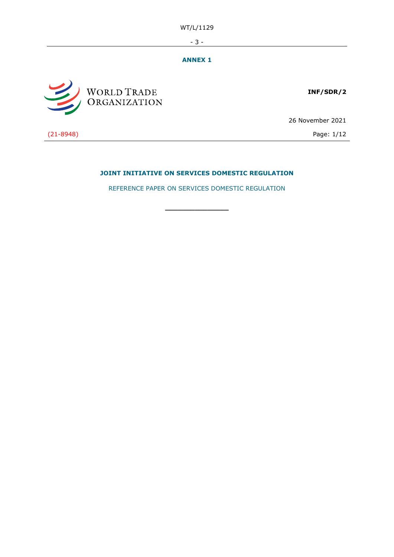WT/L/1129

- 3 -

## **ANNEX 1**



**INF/SDR/2**

26 November 2021

(21-8948) Page: 1/12

# **JOINT INITIATIVE ON SERVICES DOMESTIC REGULATION**

REFERENCE PAPER ON SERVICES DOMESTIC REGULATION

**\_\_\_\_\_\_\_\_\_\_\_\_\_\_\_**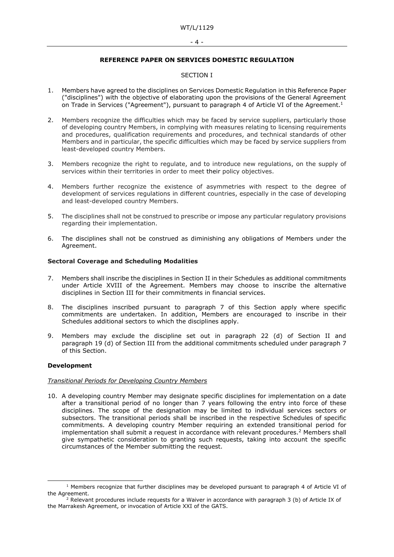#### - 4 -

## **REFERENCE PAPER ON SERVICES DOMESTIC REGULATION**

## SECTION I

- 1. Members have agreed to the disciplines on Services Domestic Regulation in this Reference Paper ("disciplines") with the objective of elaborating upon the provisions of the General Agreement on Trade in Services ("Agreement"), pursuant to paragraph 4 of Article VI of the Agreement.<sup>1</sup>
- 2. Members recognize the difficulties which may be faced by service suppliers, particularly those of developing country Members, in complying with measures relating to licensing requirements and procedures, qualification requirements and procedures, and technical standards of other Members and in particular, the specific difficulties which may be faced by service suppliers from least-developed country Members.
- 3. Members recognize the right to regulate, and to introduce new regulations, on the supply of services within their territories in order to meet their policy objectives.
- 4. Members further recognize the existence of asymmetries with respect to the degree of development of services regulations in different countries, especially in the case of developing and least-developed country Members.
- 5. The disciplines shall not be construed to prescribe or impose any particular regulatory provisions regarding their implementation.
- 6. The disciplines shall not be construed as diminishing any obligations of Members under the Agreement.

#### **Sectoral Coverage and Scheduling Modalities**

- 7. Members shall inscribe the disciplines in Section II in their Schedules as additional commitments under Article XVIII of the Agreement. Members may choose to inscribe the alternative disciplines in Section III for their commitments in financial services.
- 8. The disciplines inscribed pursuant to paragraph 7 of this Section apply where specific commitments are undertaken. In addition, Members are encouraged to inscribe in their Schedules additional sectors to which the disciplines apply.
- 9. Members may exclude the discipline set out in paragraph 22 (d) of Section II and paragraph 19 (d) of Section III from the additional commitments scheduled under paragraph 7 of this Section.

#### **Development**

#### *Transitional Periods for Developing Country Members*

10. A developing country Member may designate specific disciplines for implementation on a date after a transitional period of no longer than 7 years following the entry into force of these disciplines. The scope of the designation may be limited to individual services sectors or subsectors. The transitional periods shall be inscribed in the respective Schedules of specific commitments. A developing country Member requiring an extended transitional period for implementation shall submit a request in accordance with relevant procedures.<sup>2</sup> Members shall give sympathetic consideration to granting such requests, taking into account the specific circumstances of the Member submitting the request.

 $1$  Members recognize that further disciplines may be developed pursuant to paragraph 4 of Article VI of the Agreement.

 $2$  Relevant procedures include requests for a Waiver in accordance with paragraph 3 (b) of Article IX of the Marrakesh Agreement, or invocation of Article XXI of the GATS.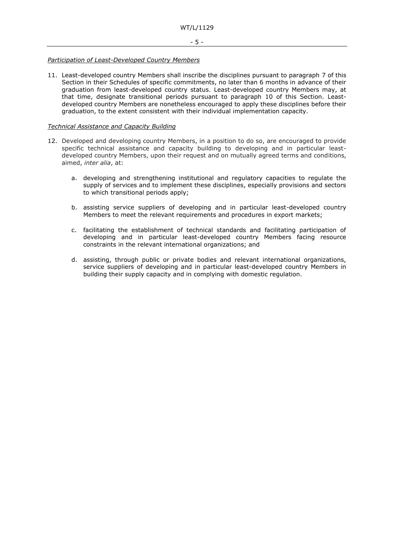### *Participation of Least-Developed Country Members*

11. Least-developed country Members shall inscribe the disciplines pursuant to paragraph 7 of this Section in their Schedules of specific commitments, no later than 6 months in advance of their graduation from least-developed country status. Least-developed country Members may, at that time, designate transitional periods pursuant to paragraph 10 of this Section. Leastdeveloped country Members are nonetheless encouraged to apply these disciplines before their graduation, to the extent consistent with their individual implementation capacity.

## *Technical Assistance and Capacity Building*

- 12. Developed and developing country Members, in a position to do so, are encouraged to provide specific technical assistance and capacity building to developing and in particular leastdeveloped country Members, upon their request and on mutually agreed terms and conditions, aimed, *inter alia*, at:
	- a. developing and strengthening institutional and regulatory capacities to regulate the supply of services and to implement these disciplines, especially provisions and sectors to which transitional periods apply;
	- b. assisting service suppliers of developing and in particular least-developed country Members to meet the relevant requirements and procedures in export markets;
	- c. facilitating the establishment of technical standards and facilitating participation of developing and in particular least-developed country Members facing resource constraints in the relevant international organizations; and
	- d. assisting, through public or private bodies and relevant international organizations, service suppliers of developing and in particular least-developed country Members in building their supply capacity and in complying with domestic regulation.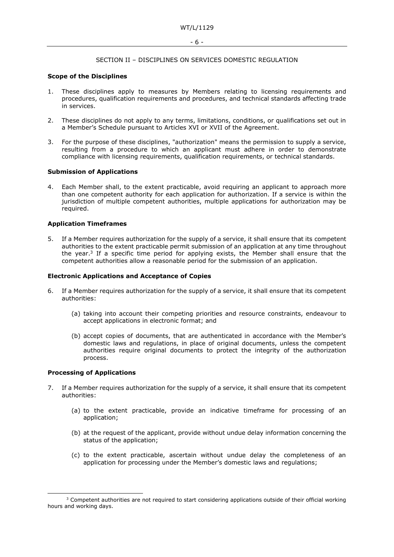#### SECTION II – DISCIPLINES ON SERVICES DOMESTIC REGULATION

#### **Scope of the Disciplines**

- 1. These disciplines apply to measures by Members relating to licensing requirements and procedures, qualification requirements and procedures, and technical standards affecting trade in services.
- 2. These disciplines do not apply to any terms, limitations, conditions, or qualifications set out in a Member's Schedule pursuant to Articles XVI or XVII of the Agreement.
- 3. For the purpose of these disciplines, "authorization" means the permission to supply a service, resulting from a procedure to which an applicant must adhere in order to demonstrate compliance with licensing requirements, qualification requirements, or technical standards.

#### **Submission of Applications**

4. Each Member shall, to the extent practicable, avoid requiring an applicant to approach more than one competent authority for each application for authorization. If a service is within the jurisdiction of multiple competent authorities, multiple applications for authorization may be required.

#### **Application Timeframes**

5. If a Member requires authorization for the supply of a service, it shall ensure that its competent authorities to the extent practicable permit submission of an application at any time throughout the year.<sup>3</sup> If a specific time period for applying exists, the Member shall ensure that the competent authorities allow a reasonable period for the submission of an application.

#### **Electronic Applications and Acceptance of Copies**

- 6. If a Member requires authorization for the supply of a service, it shall ensure that its competent authorities:
	- (a) taking into account their competing priorities and resource constraints, endeavour to accept applications in electronic format; and
	- (b) accept copies of documents, that are authenticated in accordance with the Member's domestic laws and regulations, in place of original documents, unless the competent authorities require original documents to protect the integrity of the authorization process.

#### **Processing of Applications**

- 7. If a Member requires authorization for the supply of a service, it shall ensure that its competent authorities:
	- (a) to the extent practicable, provide an indicative timeframe for processing of an application;
	- (b) at the request of the applicant, provide without undue delay information concerning the status of the application;
	- (c) to the extent practicable, ascertain without undue delay the completeness of an application for processing under the Member's domestic laws and regulations;

<sup>&</sup>lt;sup>3</sup> Competent authorities are not required to start considering applications outside of their official working hours and working days.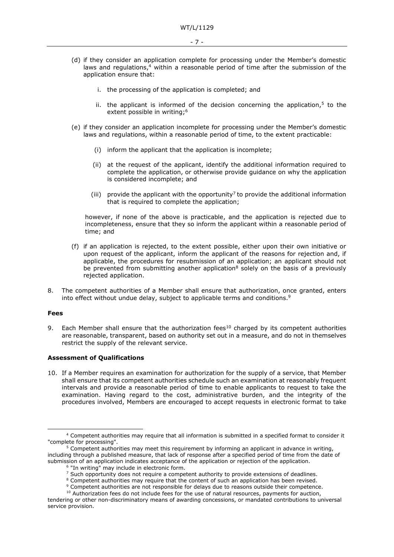- (d) if they consider an application complete for processing under the Member's domestic laws and regulations, <sup>4</sup> within a reasonable period of time after the submission of the application ensure that:
	- i. the processing of the application is completed; and
	- ii. the applicant is informed of the decision concerning the application,<sup>5</sup> to the extent possible in writing;<sup>6</sup>
- (e) if they consider an application incomplete for processing under the Member's domestic laws and regulations, within a reasonable period of time, to the extent practicable:
	- (i) inform the applicant that the application is incomplete;
	- (ii) at the request of the applicant, identify the additional information required to complete the application, or otherwise provide guidance on why the application is considered incomplete; and
	- (iii) provide the applicant with the opportunity<sup>7</sup> to provide the additional information that is required to complete the application;

however, if none of the above is practicable, and the application is rejected due to incompleteness, ensure that they so inform the applicant within a reasonable period of time; and

- (f) if an application is rejected, to the extent possible, either upon their own initiative or upon request of the applicant, inform the applicant of the reasons for rejection and, if applicable, the procedures for resubmission of an application; an applicant should not be prevented from submitting another application<sup>8</sup> solely on the basis of a previously rejected application.
- 8. The competent authorities of a Member shall ensure that authorization, once granted, enters into effect without undue delay, subject to applicable terms and conditions.<sup>9</sup>

#### **Fees**

9. Each Member shall ensure that the authorization fees<sup>10</sup> charged by its competent authorities are reasonable, transparent, based on authority set out in a measure, and do not in themselves restrict the supply of the relevant service.

#### **Assessment of Qualifications**

10. If a Member requires an examination for authorization for the supply of a service, that Member shall ensure that its competent authorities schedule such an examination at reasonably frequent intervals and provide a reasonable period of time to enable applicants to request to take the examination. Having regard to the cost, administrative burden, and the integrity of the procedures involved, Members are encouraged to accept requests in electronic format to take

<sup>4</sup> Competent authorities may require that all information is submitted in a specified format to consider it "complete for processing".

 $5$  Competent authorities may meet this requirement by informing an applicant in advance in writing, including through a published measure, that lack of response after a specified period of time from the date of submission of an application indicates acceptance of the application or rejection of the application.

<sup>6</sup> "In writing" may include in electronic form.

 $<sup>7</sup>$  Such opportunity does not require a competent authority to provide extensions of deadlines.</sup>

<sup>&</sup>lt;sup>8</sup> Competent authorities may require that the content of such an application has been revised.

<sup>9</sup> Competent authorities are not responsible for delays due to reasons outside their competence.

<sup>&</sup>lt;sup>10</sup> Authorization fees do not include fees for the use of natural resources, payments for auction, tendering or other non-discriminatory means of awarding concessions, or mandated contributions to universal service provision.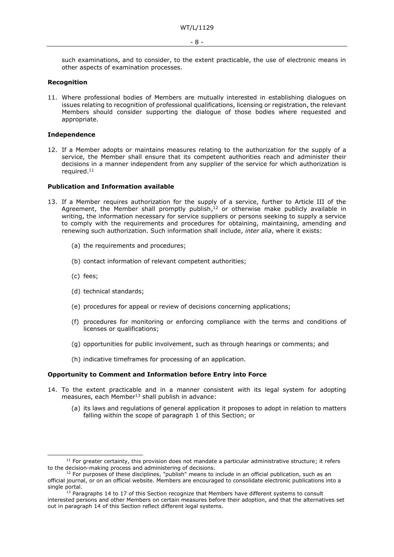such examinations, and to consider, to the extent practicable, the use of electronic means in other aspects of examination processes.

### **Recognition**

11. Where professional bodies of Members are mutually interested in establishing dialogues on issues relating to recognition of professional qualifications, licensing or registration, the relevant Members should consider supporting the dialogue of those bodies where requested and appropriate.

#### **Independence**

12. If a Member adopts or maintains measures relating to the authorization for the supply of a service, the Member shall ensure that its competent authorities reach and administer their decisions in a manner independent from any supplier of the service for which authorization is required.<sup>11</sup>

#### **Publication and Information available**

- 13. If a Member requires authorization for the supply of a service, further to Article III of the Agreement, the Member shall promptly publish, $<sup>12</sup>$  or otherwise make publicly available in</sup> writing, the information necessary for service suppliers or persons seeking to supply a service to comply with the requirements and procedures for obtaining, maintaining, amending and renewing such authorization. Such information shall include, *inter alia*, where it exists:
	- (a) the requirements and procedures;
	- (b) contact information of relevant competent authorities;
	- (c) fees;
	- (d) technical standards;
	- (e) procedures for appeal or review of decisions concerning applications;
	- (f) procedures for monitoring or enforcing compliance with the terms and conditions of licenses or qualifications;
	- (g) opportunities for public involvement, such as through hearings or comments; and
	- (h) indicative timeframes for processing of an application.

#### **Opportunity to Comment and Information before Entry into Force**

- 14. To the extent practicable and in a manner consistent with its legal system for adopting measures, each Member $^{13}$  shall publish in advance:
	- (a) its laws and regulations of general application it proposes to adopt in relation to matters falling within the scope of paragraph 1 of this Section; or

 $11$  For greater certainty, this provision does not mandate a particular administrative structure; it refers to the decision-making process and administering of decisions.

 $12$  For purposes of these disciplines, "publish" means to include in an official publication, such as an official journal, or on an official website. Members are encouraged to consolidate electronic publications into a single portal.

 $13$  Paragraphs 14 to 17 of this Section recognize that Members have different systems to consult interested persons and other Members on certain measures before their adoption, and that the alternatives set out in paragraph 14 of this Section reflect different legal systems.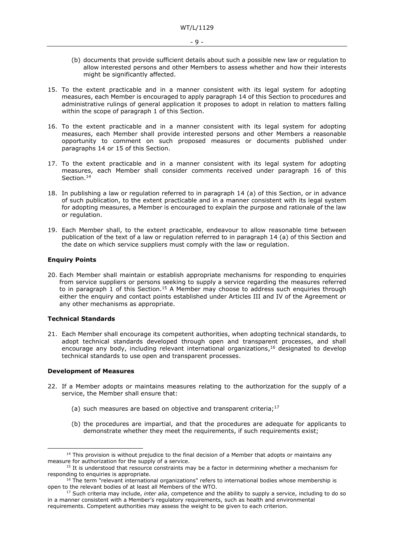- (b) documents that provide sufficient details about such a possible new law or regulation to allow interested persons and other Members to assess whether and how their interests might be significantly affected.
- 15. To the extent practicable and in a manner consistent with its legal system for adopting measures, each Member is encouraged to apply paragraph 14 of this Section to procedures and administrative rulings of general application it proposes to adopt in relation to matters falling within the scope of paragraph 1 of this Section.
- 16. To the extent practicable and in a manner consistent with its legal system for adopting measures, each Member shall provide interested persons and other Members a reasonable opportunity to comment on such proposed measures or documents published under paragraphs 14 or 15 of this Section.
- 17. To the extent practicable and in a manner consistent with its legal system for adopting measures, each Member shall consider comments received under paragraph 16 of this Section.<sup>14</sup>
- 18. In publishing a law or regulation referred to in paragraph 14 (a) of this Section, or in advance of such publication, to the extent practicable and in a manner consistent with its legal system for adopting measures, a Member is encouraged to explain the purpose and rationale of the law or regulation.
- 19. Each Member shall, to the extent practicable, endeavour to allow reasonable time between publication of the text of a law or regulation referred to in paragraph 14 (a) of this Section and the date on which service suppliers must comply with the law or regulation.

## **Enquiry Points**

20. Each Member shall maintain or establish appropriate mechanisms for responding to enquiries from service suppliers or persons seeking to supply a service regarding the measures referred to in paragraph 1 of this Section.<sup>15</sup> A Member may choose to address such enquiries through either the enquiry and contact points established under Articles III and IV of the Agreement or any other mechanisms as appropriate.

## **Technical Standards**

21. Each Member shall encourage its competent authorities, when adopting technical standards, to adopt technical standards developed through open and transparent processes, and shall encourage any body, including relevant international organizations, <sup>16</sup> designated to develop technical standards to use open and transparent processes.

#### **Development of Measures**

- 22. If a Member adopts or maintains measures relating to the authorization for the supply of a service, the Member shall ensure that:
	- (a) such measures are based on objective and transparent criteria;<sup>17</sup>
	- (b) the procedures are impartial, and that the procedures are adequate for applicants to demonstrate whether they meet the requirements, if such requirements exist;

 $14$  This provision is without prejudice to the final decision of a Member that adopts or maintains any measure for authorization for the supply of a service.

 $15$  It is understood that resource constraints may be a factor in determining whether a mechanism for responding to enquiries is appropriate.

 $16$  The term "relevant international organizations" refers to international bodies whose membership is open to the relevant bodies of at least all Members of the WTO.

<sup>&</sup>lt;sup>17</sup> Such criteria may include, *inter alia*, competence and the ability to supply a service, including to do so in a manner consistent with a Member's regulatory requirements, such as health and environmental requirements. Competent authorities may assess the weight to be given to each criterion.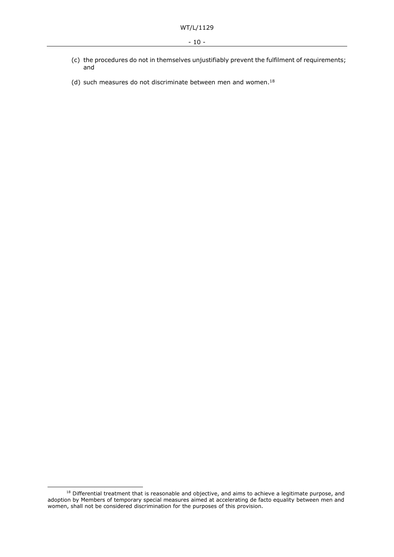- (c) the procedures do not in themselves unjustifiably prevent the fulfilment of requirements; and
- (d) such measures do not discriminate between men and women. 18

<sup>&</sup>lt;sup>18</sup> Differential treatment that is reasonable and objective, and aims to achieve a legitimate purpose, and adoption by Members of temporary special measures aimed at accelerating de facto equality between men and women, shall not be considered discrimination for the purposes of this provision.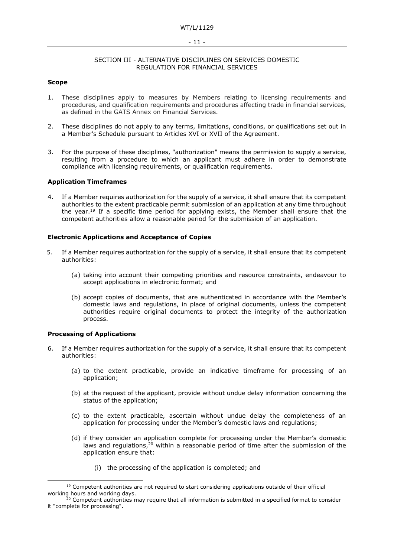#### - 11 -

#### SECTION III - ALTERNATIVE DISCIPLINES ON SERVICES DOMESTIC REGULATION FOR FINANCIAL SERVICES

## **Scope**

- 1. These disciplines apply to measures by Members relating to licensing requirements and procedures, and qualification requirements and procedures affecting trade in financial services, as defined in the GATS Annex on Financial Services.
- 2. These disciplines do not apply to any terms, limitations, conditions, or qualifications set out in a Member's Schedule pursuant to Articles XVI or XVII of the Agreement.
- 3. For the purpose of these disciplines, "authorization" means the permission to supply a service, resulting from a procedure to which an applicant must adhere in order to demonstrate compliance with licensing requirements, or qualification requirements.

## **Application Timeframes**

4. If a Member requires authorization for the supply of a service, it shall ensure that its competent authorities to the extent practicable permit submission of an application at any time throughout the year.<sup>19</sup> If a specific time period for applying exists, the Member shall ensure that the competent authorities allow a reasonable period for the submission of an application.

#### **Electronic Applications and Acceptance of Copies**

- 5. If a Member requires authorization for the supply of a service, it shall ensure that its competent authorities:
	- (a) taking into account their competing priorities and resource constraints, endeavour to accept applications in electronic format; and
	- (b) accept copies of documents, that are authenticated in accordance with the Member's domestic laws and regulations, in place of original documents, unless the competent authorities require original documents to protect the integrity of the authorization process.

## **Processing of Applications**

- 6. If a Member requires authorization for the supply of a service, it shall ensure that its competent authorities:
	- (a) to the extent practicable, provide an indicative timeframe for processing of an application;
	- (b) at the request of the applicant, provide without undue delay information concerning the status of the application;
	- (c) to the extent practicable, ascertain without undue delay the completeness of an application for processing under the Member's domestic laws and regulations;
	- (d) if they consider an application complete for processing under the Member's domestic laws and regulations,<sup>20</sup> within a reasonable period of time after the submission of the application ensure that:
		- (i) the processing of the application is completed; and

 $19$  Competent authorities are not required to start considering applications outside of their official working hours and working days.

<sup>&</sup>lt;sup>20</sup> Competent authorities may require that all information is submitted in a specified format to consider it "complete for processing".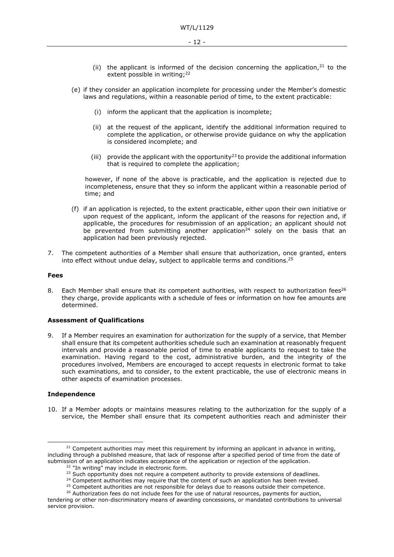- (ii) the applicant is informed of the decision concerning the application, $21$  to the extent possible in writing;<sup>22</sup>
- (e) if they consider an application incomplete for processing under the Member's domestic laws and regulations, within a reasonable period of time, to the extent practicable:
	- (i) inform the applicant that the application is incomplete;
	- (ii) at the request of the applicant, identify the additional information required to complete the application, or otherwise provide guidance on why the application is considered incomplete; and
	- (iii) provide the applicant with the opportunity<sup>23</sup> to provide the additional information that is required to complete the application;

however, if none of the above is practicable, and the application is rejected due to incompleteness, ensure that they so inform the applicant within a reasonable period of time; and

- (f) if an application is rejected, to the extent practicable, either upon their own initiative or upon request of the applicant, inform the applicant of the reasons for rejection and, if applicable, the procedures for resubmission of an application; an applicant should not be prevented from submitting another application<sup>24</sup> solely on the basis that an application had been previously rejected.
- 7. The competent authorities of a Member shall ensure that authorization, once granted, enters into effect without undue delay, subject to applicable terms and conditions.<sup>25</sup>

#### **Fees**

8. Each Member shall ensure that its competent authorities, with respect to authorization fees<sup>26</sup> they charge, provide applicants with a schedule of fees or information on how fee amounts are determined.

## **Assessment of Qualifications**

9. If a Member requires an examination for authorization for the supply of a service, that Member shall ensure that its competent authorities schedule such an examination at reasonably frequent intervals and provide a reasonable period of time to enable applicants to request to take the examination. Having regard to the cost, administrative burden, and the integrity of the procedures involved, Members are encouraged to accept requests in electronic format to take such examinations, and to consider, to the extent practicable, the use of electronic means in other aspects of examination processes.

## **Independence**

10. If a Member adopts or maintains measures relating to the authorization for the supply of a service, the Member shall ensure that its competent authorities reach and administer their

 $21$  Competent authorities may meet this requirement by informing an applicant in advance in writing, including through a published measure, that lack of response after a specified period of time from the date of submission of an application indicates acceptance of the application or rejection of the application.

<sup>&</sup>lt;sup>22</sup> "In writing" may include in electronic form.

<sup>&</sup>lt;sup>23</sup> Such opportunity does not require a competent authority to provide extensions of deadlines.

 $24$  Competent authorities may require that the content of such an application has been revised.

<sup>&</sup>lt;sup>25</sup> Competent authorities are not responsible for delays due to reasons outside their competence.

<sup>&</sup>lt;sup>26</sup> Authorization fees do not include fees for the use of natural resources, payments for auction, tendering or other non-discriminatory means of awarding concessions, or mandated contributions to universal

service provision.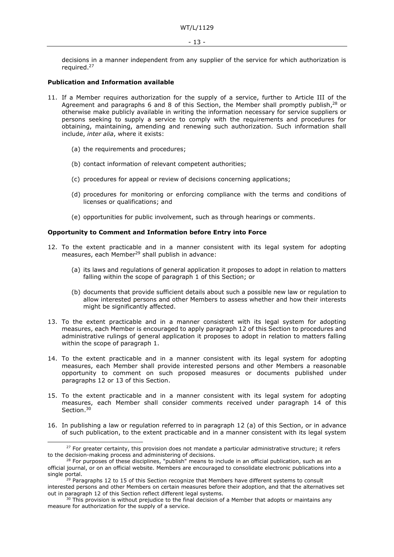decisions in a manner independent from any supplier of the service for which authorization is required.<sup>27</sup>

## **Publication and Information available**

- 11. If a Member requires authorization for the supply of a service, further to Article III of the Agreement and paragraphs 6 and 8 of this Section, the Member shall promptly publish, $28$  or otherwise make publicly available in writing the information necessary for service suppliers or persons seeking to supply a service to comply with the requirements and procedures for obtaining, maintaining, amending and renewing such authorization. Such information shall include, *inter alia*, where it exists:
	- (a) the requirements and procedures;
	- (b) contact information of relevant competent authorities;
	- (c) procedures for appeal or review of decisions concerning applications;
	- (d) procedures for monitoring or enforcing compliance with the terms and conditions of licenses or qualifications; and
	- (e) opportunities for public involvement, such as through hearings or comments.

#### **Opportunity to Comment and Information before Entry into Force**

- 12. To the extent practicable and in a manner consistent with its legal system for adopting measures, each Member<sup>29</sup> shall publish in advance:
	- (a) its laws and regulations of general application it proposes to adopt in relation to matters falling within the scope of paragraph 1 of this Section; or
	- (b) documents that provide sufficient details about such a possible new law or regulation to allow interested persons and other Members to assess whether and how their interests might be significantly affected.
- 13. To the extent practicable and in a manner consistent with its legal system for adopting measures, each Member is encouraged to apply paragraph 12 of this Section to procedures and administrative rulings of general application it proposes to adopt in relation to matters falling within the scope of paragraph 1.
- 14. To the extent practicable and in a manner consistent with its legal system for adopting measures, each Member shall provide interested persons and other Members a reasonable opportunity to comment on such proposed measures or documents published under paragraphs 12 or 13 of this Section.
- 15. To the extent practicable and in a manner consistent with its legal system for adopting measures, each Member shall consider comments received under paragraph 14 of this Section. 30
- 16. In publishing a law or regulation referred to in paragraph 12 (a) of this Section, or in advance of such publication, to the extent practicable and in a manner consistent with its legal system

 $27$  For greater certainty, this provision does not mandate a particular administrative structure; it refers to the decision-making process and administering of decisions.

 $28$  For purposes of these disciplines, "publish" means to include in an official publication, such as an official journal, or on an official website. Members are encouraged to consolidate electronic publications into a single portal.

<sup>&</sup>lt;sup>'29</sup> Paragraphs 12 to 15 of this Section recognize that Members have different systems to consult interested persons and other Members on certain measures before their adoption, and that the alternatives set out in paragraph 12 of this Section reflect different legal systems.

 $30$  This provision is without prejudice to the final decision of a Member that adopts or maintains any measure for authorization for the supply of a service.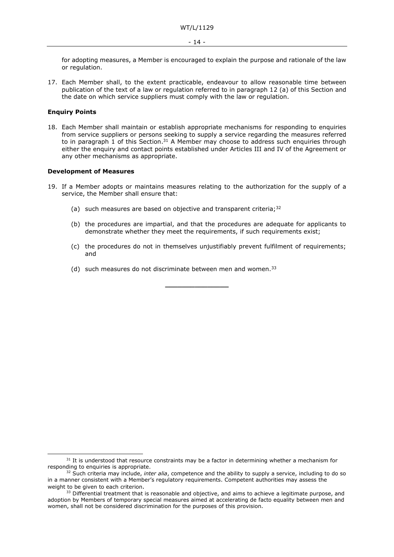for adopting measures, a Member is encouraged to explain the purpose and rationale of the law or regulation.

17. Each Member shall, to the extent practicable, endeavour to allow reasonable time between publication of the text of a law or regulation referred to in paragraph 12 (a) of this Section and the date on which service suppliers must comply with the law or regulation.

## **Enquiry Points**

18. Each Member shall maintain or establish appropriate mechanisms for responding to enquiries from service suppliers or persons seeking to supply a service regarding the measures referred to in paragraph 1 of this Section.<sup>31</sup> A Member may choose to address such enquiries through either the enquiry and contact points established under Articles III and IV of the Agreement or any other mechanisms as appropriate.

#### **Development of Measures**

- 19. If a Member adopts or maintains measures relating to the authorization for the supply of a service, the Member shall ensure that:
	- (a) such measures are based on objective and transparent criteria;  $32$
	- (b) the procedures are impartial, and that the procedures are adequate for applicants to demonstrate whether they meet the requirements, if such requirements exist;
	- (c) the procedures do not in themselves unjustifiably prevent fulfilment of requirements; and

**\_\_\_\_\_\_\_\_\_\_\_\_\_\_\_**

(d) such measures do not discriminate between men and women.  $33$ 

 $31$  It is understood that resource constraints may be a factor in determining whether a mechanism for responding to enquiries is appropriate.

<sup>&</sup>lt;sup>32</sup> Such criteria may include, *inter alia*, competence and the ability to supply a service, including to do so in a manner consistent with a Member's regulatory requirements. Competent authorities may assess the weight to be given to each criterion.

<sup>&</sup>lt;sup>33</sup> Differential treatment that is reasonable and objective, and aims to achieve a legitimate purpose, and adoption by Members of temporary special measures aimed at accelerating de facto equality between men and women, shall not be considered discrimination for the purposes of this provision.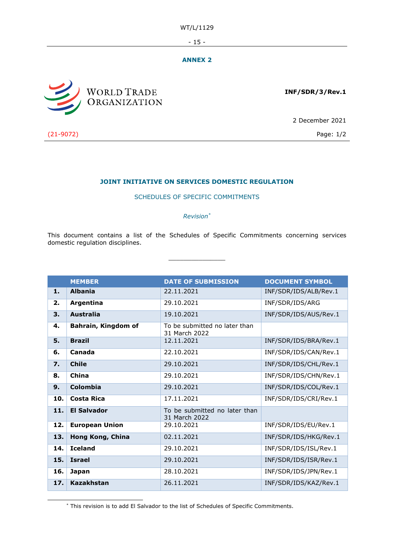WT/L/1129

 $-15 -$ 

## **ANNEX 2**



**INF/SDR/3/Rev.1**

2 December 2021

(21-9072) Page: 1/2

## **JOINT INITIATIVE ON SERVICES DOMESTIC REGULATION**

## SCHEDULES OF SPECIFIC COMMITMENTS

## *Revision\**

This document contains a list of the Schedules of Specific Commitments concerning services domestic regulation disciplines.

 $\frac{1}{2}$  ,  $\frac{1}{2}$  ,  $\frac{1}{2}$  ,  $\frac{1}{2}$  ,  $\frac{1}{2}$  ,  $\frac{1}{2}$  ,  $\frac{1}{2}$  ,  $\frac{1}{2}$  ,  $\frac{1}{2}$  ,  $\frac{1}{2}$  ,  $\frac{1}{2}$  ,  $\frac{1}{2}$  ,  $\frac{1}{2}$  ,  $\frac{1}{2}$  ,  $\frac{1}{2}$  ,  $\frac{1}{2}$  ,  $\frac{1}{2}$  ,  $\frac{1}{2}$  ,  $\frac{1$ 

|     | <b>MEMBER</b>         | <b>DATE OF SUBMISSION</b>                      | <b>DOCUMENT SYMBOL</b> |
|-----|-----------------------|------------------------------------------------|------------------------|
| 1.  | <b>Albania</b>        | 22.11.2021                                     | INF/SDR/IDS/ALB/Rev.1  |
| 2.  | Argentina             | 29.10.2021                                     | INF/SDR/IDS/ARG        |
| 3.  | <b>Australia</b>      | 19.10.2021                                     | INF/SDR/IDS/AUS/Rev.1  |
| 4.  | Bahrain, Kingdom of   | To be submitted no later than<br>31 March 2022 |                        |
| 5.  | <b>Brazil</b>         | 12.11.2021                                     | INF/SDR/IDS/BRA/Rev.1  |
| 6.  | Canada                | 22.10.2021                                     | INF/SDR/IDS/CAN/Rev.1  |
| 7.  | <b>Chile</b>          | 29.10.2021                                     | INF/SDR/IDS/CHL/Rev.1  |
| 8.  | China                 | 29.10.2021                                     | INF/SDR/IDS/CHN/Rev.1  |
| 9.  | Colombia              | 29.10.2021                                     | INF/SDR/IDS/COL/Rev.1  |
| 10. | Costa Rica            | 17.11.2021                                     | INF/SDR/IDS/CRI/Rev.1  |
| 11. | <b>El Salvador</b>    | To be submitted no later than<br>31 March 2022 |                        |
| 12. | <b>European Union</b> | 29.10.2021                                     | INF/SDR/IDS/EU/Rev.1   |
| 13. | Hong Kong, China      | 02.11.2021                                     | INF/SDR/IDS/HKG/Rev.1  |
| 14. | <b>Iceland</b>        | 29.10.2021                                     | INF/SDR/IDS/ISL/Rev.1  |
| 15. | <b>Israel</b>         | 29.10.2021                                     | INF/SDR/IDS/ISR/Rev.1  |
| 16. | <b>Japan</b>          | 28.10.2021                                     | INF/SDR/IDS/JPN/Rev.1  |
| 17. | <b>Kazakhstan</b>     | 26.11.2021                                     | INF/SDR/IDS/KAZ/Rev.1  |

\* This revision is to add El Salvador to the list of Schedules of Specific Commitments.